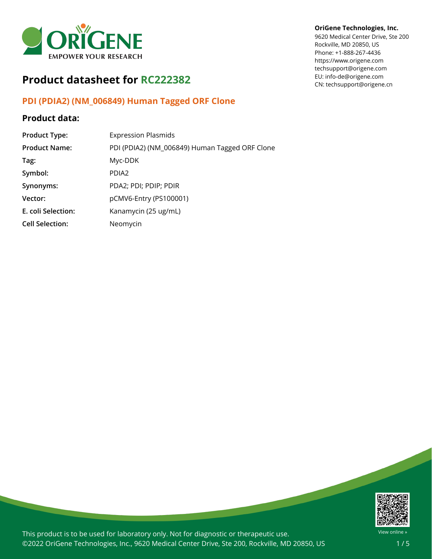

# **Product datasheet for RC222382**

## **PDI (PDIA2) (NM\_006849) Human Tagged ORF Clone**

### **Product data:**

| <b>Product Type:</b>   | <b>Expression Plasmids</b>                     |
|------------------------|------------------------------------------------|
| <b>Product Name:</b>   | PDI (PDIA2) (NM_006849) Human Tagged ORF Clone |
| Tag:                   | Myc-DDK                                        |
| Symbol:                | PDIA <sub>2</sub>                              |
| Synonyms:              | PDA2; PDI; PDIP; PDIR                          |
| Vector:                | pCMV6-Entry (PS100001)                         |
| E. coli Selection:     | Kanamycin (25 ug/mL)                           |
| <b>Cell Selection:</b> | Neomycin                                       |

### **OriGene Technologies, Inc.**

9620 Medical Center Drive, Ste 200 Rockville, MD 20850, US Phone: +1-888-267-4436 https://www.origene.com techsupport@origene.com EU: info-de@origene.com CN: techsupport@origene.cn



This product is to be used for laboratory only. Not for diagnostic or therapeutic use. ©2022 OriGene Technologies, Inc., 9620 Medical Center Drive, Ste 200, Rockville, MD 20850, US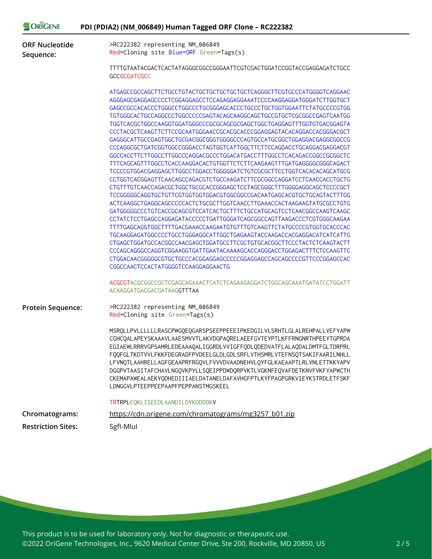| ORIGENE                            | PDI (PDIA2) (NM_006849) Human Tagged ORF Clone - RC222382                                                                                                                                                                                                                                                                                                                                                                                                                                                                                                                                                                                                                                                                                                                                                                                                                                                                                                                                                                                                                                                                                                                                                                                                                                                                                                                                                                                                                                                                   |
|------------------------------------|-----------------------------------------------------------------------------------------------------------------------------------------------------------------------------------------------------------------------------------------------------------------------------------------------------------------------------------------------------------------------------------------------------------------------------------------------------------------------------------------------------------------------------------------------------------------------------------------------------------------------------------------------------------------------------------------------------------------------------------------------------------------------------------------------------------------------------------------------------------------------------------------------------------------------------------------------------------------------------------------------------------------------------------------------------------------------------------------------------------------------------------------------------------------------------------------------------------------------------------------------------------------------------------------------------------------------------------------------------------------------------------------------------------------------------------------------------------------------------------------------------------------------------|
| <b>ORF Nucleotide</b><br>Sequence: | >RC222382 representing NM_006849<br>Red=Cloning site Blue=ORF Green=Tags(s)                                                                                                                                                                                                                                                                                                                                                                                                                                                                                                                                                                                                                                                                                                                                                                                                                                                                                                                                                                                                                                                                                                                                                                                                                                                                                                                                                                                                                                                 |
|                                    | TTTTGTAATACGACTCACTATAGGGCGGCCGGGAATTCGTCGACTGGATCCGGTACCGAGGAGATCTGCC<br><b>GCCGCGATCGCC</b>                                                                                                                                                                                                                                                                                                                                                                                                                                                                                                                                                                                                                                                                                                                                                                                                                                                                                                                                                                                                                                                                                                                                                                                                                                                                                                                                                                                                                               |
|                                    | ATGAGCCGCCAGCTTCTGCCTGTACTGCTGCTGCTGCTGCTCAGGGCTTCGTGCCCATGGGGTCAGGAAC<br>AGGGAGCGAGGAGCCCCTCGGAGGAGCCTCCAGAGGAGGAAATCCCCAAGGAGGATGGGATCTTGGTGCT<br>GAGCCGCCACACCCTGGGCCTGGCCCTGCGGAGCACCCTGCCCTGCTGGTGGAATTCTATGCCCCGTGG<br>TGTGGGCACTGCCAGGCCCTGGCCCCCGAGTACAGCAAGGCAGCTGCCGTGCTCGCGGCCGAGTCAATGG<br>GAGGGCATTGCCGAGTGGCTGCGACGGCGGGTGGGCCCAGTGCCATGCGGCTGGAGGACGAGGCGGCCG<br>CCCAGGCGCTGATCGGTGGCCGGGACCTAGTGGTCATTGGCTTCTTCCAGGACCTGCAGGACGAGGACGT<br>TTTCAGCAGTTTGGCCTCACCAAGGACACTGTGTTCTCTTCAAGAAGTTTGATGAGGGGCGGCAGACT<br>CCTGGTCACGGAGTTCAACAGCCAGACGTCTGCCAAGATCTTCGCGGCCAGGATCCTCAACCACCTGCTG<br>CTGTTTGTCAACCAGACGCTGGCTGCGCACCGGGAGCTCCTAGCGGGCTTTGGGGAGGCAGCTCCCCGCT<br>TCCGGGGGCAGGTGCTGTTCGTGGTGGTGGACGTGGCGGCCGACAATGAGCACGTGCTGCAGTACTTTGG<br>ACTCAAGGCTGAGGCAGCCCCCACTCTGCGCTTGGTCAACCTTGAAACCACTAAGAAGTATGCGCCTGTG<br>GATGGGGGCCCTGTCACCGCAGCGTCCATCACTGCTTTCTGCCATGCAGTCCTCAACGGCCAAGTCAAGC<br>CCTATCTCCTGAGCCAGGAGATACCCCCTGATTGGGATCAGCGGCCAGTTAAGACCCTCGTGGGCAAGAA<br>TTTTGAGCAGGTGGCTTTTGACGAAACCAAGAATGTGTTTGTCAAGTTCTATGCCCCGTGGTGCACCCAC<br>TGCAAGGAGATGGCCCCTGCCTGGGAGGCATTGGCTGAGAAGTACCAAGACCACGAGGACATCATCATTG<br>CTGAGCTGGATGCCACGGCCAACGAGCTGGATGCCTTCGCTGTGCACGGCTTCCCTACTCTCAAGTACTT<br>CCCAGCAGGGCCAGGTCGGAAGGTGATTGAATACAAAAGCACCAGGGACCTGGAGACTTTCTCCAAGTTC<br>CTGGACAACGGGGGCGTGCTGCCCACGGAGGAGCCCCCGGAGGAGCCAGCAGCCCCGTTCCCGGAGCCAC<br>CGGCCAACTCCACTATGGGGTCCAAGGAGGAACTG<br>ACGCGTACGCGGCCGCTCGAGCAGAAACTCATCTCAGAAGAGGATCTGGCAGCAAATGATATCCTGGATT<br>ACAAGGATGACGACGATAAGGTTTAA |
| <b>Protein Sequence:</b>           | >RC222382 representing NM_006849<br>Red=Cloning site Green=Tags(s)                                                                                                                                                                                                                                                                                                                                                                                                                                                                                                                                                                                                                                                                                                                                                                                                                                                                                                                                                                                                                                                                                                                                                                                                                                                                                                                                                                                                                                                          |
|                                    | MSRQLLPVLLLLLLLRASCPWGQEQGARSPSEEPPEEEIPKEDGILVLSRHTLGLALREHPALLVEFYAPW<br>CGHCQALAPEYSKAAAVLAAESMVVTLAKVDGPAQRELAEEFGVTEYPTLKFFRNGNRTHPEEYTGPRDA<br>EGIAEWLRRRVGPSAMRLEDEAAAQALIGGRDLVVIGFFQDLQDEDVATFLALAQDALDMTFGLTDRPRL<br>FQQFGLTKDTVVLFKKFDEGRADFPVDEELGLDLGDLSRFLVTHSMRLVTEFNSQTSAKIFAARILNHLL<br>LFVNQTLAAHRELLAGFGEAAPRFRGQVLFVVVDVAADNEHVLQYFGLKAEAAPTLRLVNLETTKKYAPV<br>DGGPVTAASITAFCHAVLNGQVKPYLLSQEIPPDWDQRPVKTLVGKNFEQVAFDETKNVFVKFYAPWCTH<br>CKEMAPAWEALAEKYQDHEDIIIAELDATANELDAFAVHGFPTLKYFPAGPGRKVIEYKSTRDLETFSKF<br>LDNGGVLPTEEPPEEPAAPFPEPPANSTMGSKEEL                                                                                                                                                                                                                                                                                                                                                                                                                                                                                                                                                                                                                                                                                                                                                                                                                                                                                                                                                  |
|                                    | TRTRPLEQKLISEEDLAANDILDYKDDDDKV                                                                                                                                                                                                                                                                                                                                                                                                                                                                                                                                                                                                                                                                                                                                                                                                                                                                                                                                                                                                                                                                                                                                                                                                                                                                                                                                                                                                                                                                                             |
| Chromatograms:                     | https://cdn.origene.com/chromatograms/mg3257_b01.zip                                                                                                                                                                                                                                                                                                                                                                                                                                                                                                                                                                                                                                                                                                                                                                                                                                                                                                                                                                                                                                                                                                                                                                                                                                                                                                                                                                                                                                                                        |
| <b>Restriction Sites:</b>          | SgfI-Mlul                                                                                                                                                                                                                                                                                                                                                                                                                                                                                                                                                                                                                                                                                                                                                                                                                                                                                                                                                                                                                                                                                                                                                                                                                                                                                                                                                                                                                                                                                                                   |

This product is to be used for laboratory only. Not for diagnostic or therapeutic use. ©2022 OriGene Technologies, Inc., 9620 Medical Center Drive, Ste 200, Rockville, MD 20850, US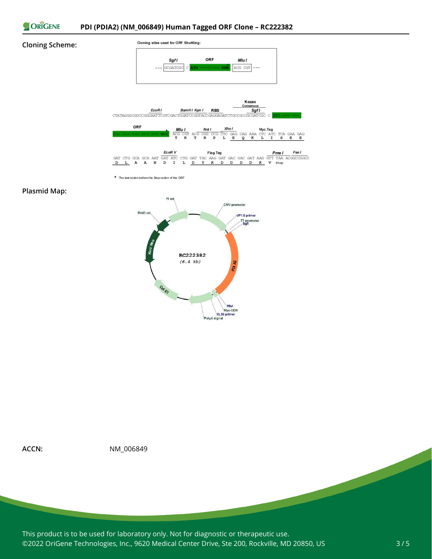

#### **Cloning Scheme:**



\* The last codon before the Stop codon of the ORF

#### **Plasmid Map:**





**ACCN:** NM\_006849

This product is to be used for laboratory only. Not for diagnostic or therapeutic use. ©2022 OriGene Technologies, Inc., 9620 Medical Center Drive, Ste 200, Rockville, MD 20850, US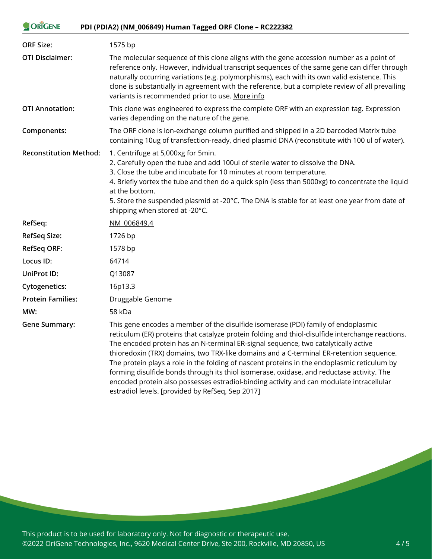#### ORIGENE **PDI (PDIA2) (NM\_006849) Human Tagged ORF Clone – RC222382**

| <b>ORF Size:</b>              | 1575 bp                                                                                                                                                                                                                                                                                                                                                                                                                                             |
|-------------------------------|-----------------------------------------------------------------------------------------------------------------------------------------------------------------------------------------------------------------------------------------------------------------------------------------------------------------------------------------------------------------------------------------------------------------------------------------------------|
| <b>OTI Disclaimer:</b>        | The molecular sequence of this clone aligns with the gene accession number as a point of<br>reference only. However, individual transcript sequences of the same gene can differ through<br>naturally occurring variations (e.g. polymorphisms), each with its own valid existence. This<br>clone is substantially in agreement with the reference, but a complete review of all prevailing<br>variants is recommended prior to use. More info      |
| <b>OTI Annotation:</b>        | This clone was engineered to express the complete ORF with an expression tag. Expression<br>varies depending on the nature of the gene.                                                                                                                                                                                                                                                                                                             |
| Components:                   | The ORF clone is ion-exchange column purified and shipped in a 2D barcoded Matrix tube<br>containing 10ug of transfection-ready, dried plasmid DNA (reconstitute with 100 ul of water).                                                                                                                                                                                                                                                             |
| <b>Reconstitution Method:</b> | 1. Centrifuge at 5,000xg for 5min.<br>2. Carefully open the tube and add 100ul of sterile water to dissolve the DNA.<br>3. Close the tube and incubate for 10 minutes at room temperature.<br>4. Briefly vortex the tube and then do a quick spin (less than 5000xg) to concentrate the liquid<br>at the bottom.<br>5. Store the suspended plasmid at -20°C. The DNA is stable for at least one year from date of<br>shipping when stored at -20°C. |
| RefSeq:                       | NM 006849.4                                                                                                                                                                                                                                                                                                                                                                                                                                         |
|                               |                                                                                                                                                                                                                                                                                                                                                                                                                                                     |
| <b>RefSeq Size:</b>           | 1726 bp                                                                                                                                                                                                                                                                                                                                                                                                                                             |
| <b>RefSeq ORF:</b>            | 1578 bp                                                                                                                                                                                                                                                                                                                                                                                                                                             |
| Locus ID:                     | 64714                                                                                                                                                                                                                                                                                                                                                                                                                                               |
| UniProt ID:                   | Q13087                                                                                                                                                                                                                                                                                                                                                                                                                                              |
| <b>Cytogenetics:</b>          | 16p13.3                                                                                                                                                                                                                                                                                                                                                                                                                                             |
| <b>Protein Families:</b>      | Druggable Genome                                                                                                                                                                                                                                                                                                                                                                                                                                    |
| MW:                           | 58 kDa                                                                                                                                                                                                                                                                                                                                                                                                                                              |

This product is to be used for laboratory only. Not for diagnostic or therapeutic use. ©2022 OriGene Technologies, Inc., 9620 Medical Center Drive, Ste 200, Rockville, MD 20850, US